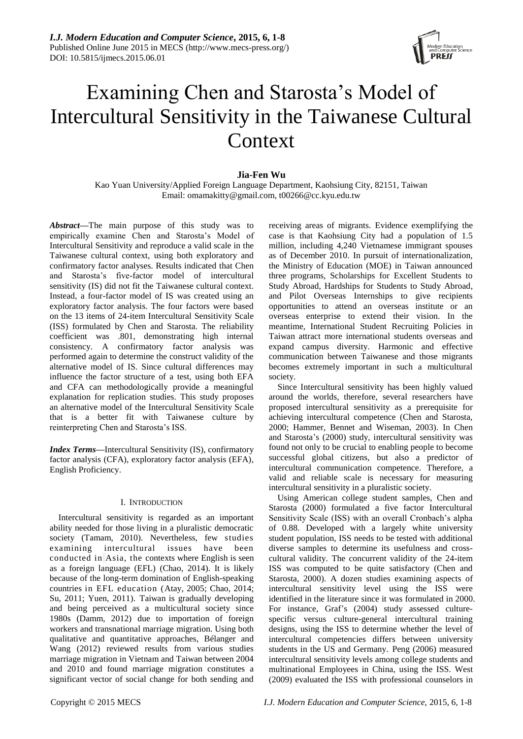

# Examining Chen and Starosta's Model of Intercultural Sensitivity in the Taiwanese Cultural Context

# **Jia-Fen Wu**

Kao Yuan University/Applied Foreign Language Department, Kaohsiung City, 82151, Taiwan Email: omamakitty@gmail.com, t00266@cc.kyu.edu.tw

*Abstract***—**The main purpose of this study was to empirically examine Chen and Starosta"s Model of Intercultural Sensitivity and reproduce a valid scale in the Taiwanese cultural context, using both exploratory and confirmatory factor analyses. Results indicated that Chen and Starosta"s five-factor model of intercultural sensitivity (IS) did not fit the Taiwanese cultural context. Instead, a four-factor model of IS was created using an exploratory factor analysis. The four factors were based on the 13 items of 24-item Intercultural Sensitivity Scale (ISS) formulated by Chen and Starosta. The reliability coefficient was .801, demonstrating high internal consistency. A confirmatory factor analysis was performed again to determine the construct validity of the alternative model of IS. Since cultural differences may influence the factor structure of a test, using both EFA and CFA can methodologically provide a meaningful explanation for replication studies. This study proposes an alternative model of the Intercultural Sensitivity Scale that is a better fit with Taiwanese culture by reinterpreting Chen and Starosta"s ISS.

*Index Terms***—**Intercultural Sensitivity (IS), confirmatory factor analysis (CFA), exploratory factor analysis (EFA), English Proficiency.

# I. INTRODUCTION

Intercultural sensitivity is regarded as an important ability needed for those living in a pluralistic democratic society (Tamam, 2010). Nevertheless, few studies examining intercultural issues have been conducted in Asia, the contexts where English is seen as a foreign language (EFL) (Chao, 2014). It is likely because of the long-term domination of English-speaking countries in EFL education (Atay, 2005; Chao, 2014; Su, 2011; Yuen, 2011). Taiwan is gradually developing and being perceived as a multicultural society since 1980s (Damm, 2012) due to importation of foreign workers and transnational marriage migration. Using both qualitative and quantitative approaches, Bélanger and Wang (2012) reviewed results from various studies marriage migration in Vietnam and Taiwan between 2004 and 2010 and found marriage migration constitutes a significant vector of social change for both sending and

receiving areas of migrants. Evidence exemplifying the case is that Kaohsiung City had a population of 1.5 million, including 4,240 Vietnamese immigrant spouses as of December 2010. In pursuit of internationalization, the Ministry of Education (MOE) in Taiwan announced three programs, Scholarships for Excellent Students to Study Abroad, Hardships for Students to Study Abroad, and Pilot Overseas Internships to give recipients opportunities to attend an overseas institute or an overseas enterprise to extend their vision. In the meantime, International Student Recruiting Policies in Taiwan attract more international students overseas and expand campus diversity. Harmonic and effective communication between Taiwanese and those migrants becomes extremely important in such a multicultural society.

Since Intercultural sensitivity has been highly valued around the worlds, therefore, several researchers have proposed intercultural sensitivity as a prerequisite for achieving intercultural competence (Chen and Starosta, 2000; Hammer, Bennet and Wiseman, 2003). In Chen and Starosta"s (2000) study, intercultural sensitivity was found not only to be crucial to enabling people to become successful global citizens, but also a predictor of intercultural communication competence. Therefore, a valid and reliable scale is necessary for measuring intercultural sensitivity in a pluralistic society.

Using American college student samples, Chen and Starosta (2000) formulated a five factor Intercultural Sensitivity Scale (ISS) with an overall Cronbach's alpha of 0.88. Developed with a largely white university student population, ISS needs to be tested with additional diverse samples to determine its usefulness and crosscultural validity. The concurrent validity of the 24-item ISS was computed to be quite satisfactory (Chen and Starosta, 2000). A dozen studies examining aspects of intercultural sensitivity level using the ISS were identified in the literature since it was formulated in 2000. For instance, Graf"s (2004) study assessed culturespecific versus culture-general intercultural training designs, using the ISS to determine whether the level of intercultural competencies differs between university students in the US and Germany. Peng (2006) measured intercultural sensitivity levels among college students and multinational Employees in China, using the ISS. West (2009) evaluated the ISS with professional counselors in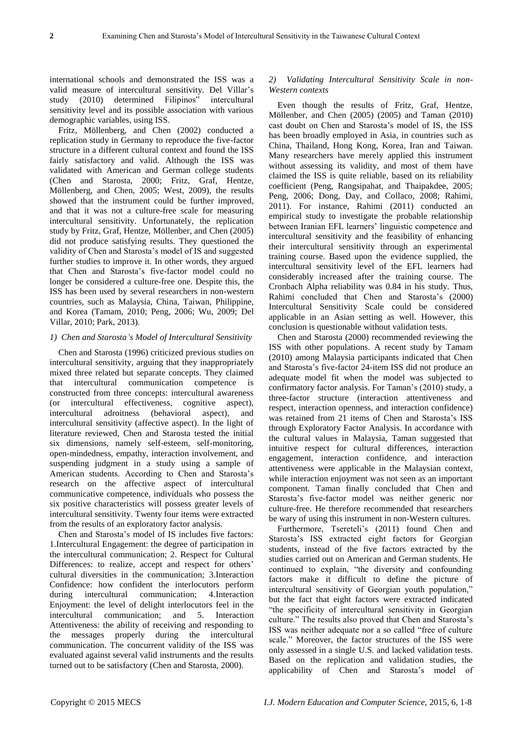international schools and demonstrated the ISS was a valid measure of intercultural sensitivity. Del Villar"s study (2010) determined Filipinos" intercultural sensitivity level and its possible association with various demographic variables, using ISS.

Fritz, Möllenberg, and Chen (2002) conducted a replication study in Germany to reproduce the five-factor structure in a different cultural context and found the ISS fairly satisfactory and valid. Although the ISS was validated with American and German college students (Chen and Starosta, 2000; Fritz, Graf, Hentze, Möllenberg, and Chen, 2005; West, 2009), the results showed that the instrument could be further improved, and that it was not a culture-free scale for measuring intercultural sensitivity. Unfortunately, the replication study by Fritz, Graf, Hentze, Möllenber, and Chen (2005) did not produce satisfying results. They questioned the validity of Chen and Starosta"s model of IS and suggested further studies to improve it. In other words, they argued that Chen and Starosta"s five-factor model could no longer be considered a culture-free one. Despite this, the ISS has been used by several researchers in non-western countries, such as Malaysia, China, Taiwan, Philippine, and Korea (Tamam, 2010; Peng, 2006; Wu, 2009; Del Villar, 2010; Park, 2013).

#### *1) Chen and Starosta's Model of Intercultural Sensitivity*

Chen and Starosta (1996) criticized previous studies on intercultural sensitivity, arguing that they inappropriately mixed three related but separate concepts. They claimed that intercultural communication competence is constructed from three concepts: intercultural awareness (or intercultural effectiveness, cognitive aspect), intercultural adroitness (behavioral aspect), and intercultural sensitivity (affective aspect). In the light of literature reviewed, Chen and Starosta tested the initial six dimensions, namely self-esteem, self-monitoring, open-mindedness, empathy, interaction involvement, and suspending judgment in a study using a sample of American students. According to Chen and Starosta"s research on the affective aspect of intercultural communicative competence, individuals who possess the six positive characteristics will possess greater levels of intercultural sensitivity. Twenty four items were extracted from the results of an exploratory factor analysis.

Chen and Starosta"s model of IS includes five factors: 1.Intercultural Engagement: the degree of participation in the intercultural communication; 2. Respect for Cultural Differences: to realize, accept and respect for others' cultural diversities in the communication; 3.Interaction Confidence: how confident the interlocutors perform during intercultural communication; 4.Interaction Enjoyment: the level of delight interlocutors feel in the intercultural communication; and 5. Interaction Attentiveness: the ability of receiving and responding to the messages properly during the intercultural communication. The concurrent validity of the ISS was evaluated against several valid instruments and the results turned out to be satisfactory (Chen and Starosta, 2000).

# *2) Validating Intercultural Sensitivity Scale in non-Western contexts*

Even though the results of Fritz, Graf, Hentze, Möllenber, and Chen (2005) (2005) and Taman (2010) cast doubt on Chen and Starosta"s model of IS, the ISS has been broadly employed in Asia, in countries such as China, Thailand, Hong Kong, Korea, Iran and Taiwan. Many researchers have merely applied this instrument without assessing its validity, and most of them have claimed the ISS is quite reliable, based on its reliability coefficient (Peng, Rangsipahat, and Thaipakdee, 2005; Peng, 2006; Dong, Day, and Collaco, 2008; Rahimi, 2011). For instance, Rahimi (2011) conducted an empirical study to investigate the probable relationship between Iranian EFL learners' linguistic competence and intercultural sensitivity and the feasibility of enhancing their intercultural sensitivity through an experimental training course. Based upon the evidence supplied, the intercultural sensitivity level of the EFL learners had considerably increased after the training course. The Cronbach Alpha reliability was 0.84 in his study. Thus, Rahimi concluded that Chen and Starosta"s (2000) Intercultural Sensitivity Scale could be considered applicable in an Asian setting as well. However, this conclusion is questionable without validation tests.

Chen and Starosta (2000) recommended reviewing the ISS with other populations. A recent study by Tamam (2010) among Malaysia participants indicated that Chen and Starosta"s five-factor 24-item ISS did not produce an adequate model fit when the model was subjected to confirmatory factor analysis. For Taman"s (2010) study, a three-factor structure (interaction attentiveness and respect, interaction openness, and interaction confidence) was retained from 21 items of Chen and Starosta"s ISS through Exploratory Factor Analysis. In accordance with the cultural values in Malaysia, Taman suggested that intuitive respect for cultural differences, interaction engagement, interaction confidence, and interaction attentiveness were applicable in the Malaysian context, while interaction enjoyment was not seen as an important component. Taman finally concluded that Chen and Starosta's five-factor model was neither generic nor culture-free. He therefore recommended that researchers be wary of using this instrument in non-Western cultures.

Furthermore, Tsereteli's (2011) found Chen and Starosta"s ISS extracted eight factors for Georgian students, instead of the five factors extracted by the studies carried out on American and German students. He continued to explain, "the diversity and confounding factors make it difficult to define the picture of intercultural sensitivity of Georgian youth population," but the fact that eight factors were extracted indicated "the specificity of intercultural sensitivity in Georgian culture." The results also proved that Chen and Starosta"s ISS was neither adequate nor a so called "free of culture scale." Moreover, the factor structures of the ISS were only assessed in a single U.S. and lacked validation tests. Based on the replication and validation studies, the applicability of Chen and Starosta"s model of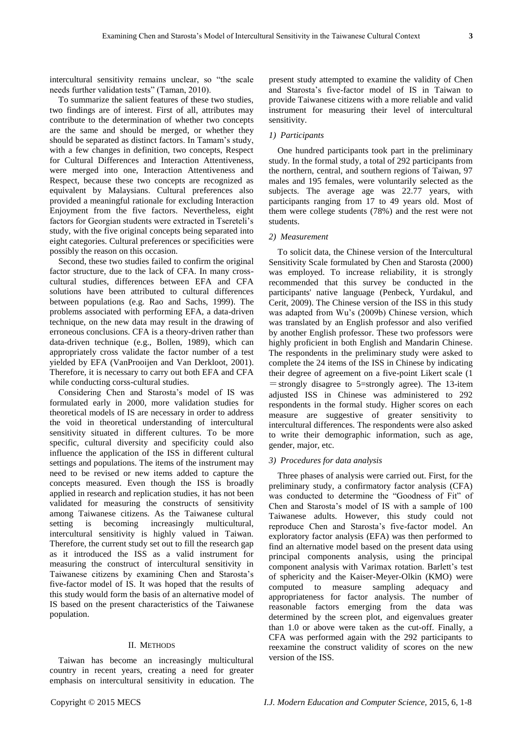intercultural sensitivity remains unclear, so "the scale needs further validation tests" (Taman, 2010).

To summarize the salient features of these two studies, two findings are of interest. First of all, attributes may contribute to the determination of whether two concepts are the same and should be merged, or whether they should be separated as distinct factors. In Tamam"s study, with a few changes in definition, two concepts, Respect for Cultural Differences and Interaction Attentiveness, were merged into one, Interaction Attentiveness and Respect, because these two concepts are recognized as equivalent by Malaysians. Cultural preferences also provided a meaningful rationale for excluding Interaction Enjoyment from the five factors. Nevertheless, eight factors for Georgian students were extracted in Tsereteli's study, with the five original concepts being separated into eight categories. Cultural preferences or specificities were possibly the reason on this occasion.

Second, these two studies failed to confirm the original factor structure, due to the lack of CFA. In many crosscultural studies, differences between EFA and CFA solutions have been attributed to cultural differences between populations (e.g. Rao and Sachs, 1999). The problems associated with performing EFA, a data-driven technique, on the new data may result in the drawing of erroneous conclusions. CFA is a theory-driven rather than data-driven technique (e.g., Bollen, 1989), which can appropriately cross validate the factor number of a test yielded by EFA (VanProoijen and Van Derkloot, 2001). Therefore, it is necessary to carry out both EFA and CFA while conducting corss-cultural studies.

Considering Chen and Starosta"s model of IS was formulated early in 2000, more validation studies for theoretical models of IS are necessary in order to address the void in theoretical understanding of intercultural sensitivity situated in different cultures. To be more specific, cultural diversity and specificity could also influence the application of the ISS in different cultural settings and populations. The items of the instrument may need to be revised or new items added to capture the concepts measured. Even though the ISS is broadly applied in research and replication studies, it has not been validated for measuring the constructs of sensitivity among Taiwanese citizens. As the Taiwanese cultural setting is becoming increasingly multicultural, intercultural sensitivity is highly valued in Taiwan. Therefore, the current study set out to fill the research gap as it introduced the ISS as a valid instrument for measuring the construct of intercultural sensitivity in Taiwanese citizens by examining Chen and Starosta"s five-factor model of IS. It was hoped that the results of this study would form the basis of an alternative model of IS based on the present characteristics of the Taiwanese population.

#### II. METHODS

Taiwan has become an increasingly multicultural country in recent years, creating a need for greater emphasis on intercultural sensitivity in education. The present study attempted to examine the validity of Chen and Starosta"s five-factor model of IS in Taiwan to provide Taiwanese citizens with a more reliable and valid instrument for measuring their level of intercultural sensitivity.

## *1) Participants*

One hundred participants took part in the preliminary study. In the formal study, a total of 292 participants from the northern, central, and southern regions of Taiwan, 97 males and 195 females, were voluntarily selected as the subjects. The average age was 22.77 years, with participants ranging from 17 to 49 years old. Most of them were college students (78%) and the rest were not students.

## *2) Measurement*

To solicit data, the Chinese version of the Intercultural Sensitivity Scale formulated by Chen and Starosta (2000) was employed. To increase reliability, it is strongly recommended that this survey be conducted in the participants' native language (Penbeck, Yurdakul, and Cerit, 2009). The Chinese version of the ISS in this study was adapted from Wu"s (2009b) Chinese version, which was translated by an English professor and also verified by another English professor. These two professors were highly proficient in both English and Mandarin Chinese. The respondents in the preliminary study were asked to complete the 24 items of the ISS in Chinese by indicating their degree of agreement on a five-point Likert scale (1  $=$  strongly disagree to 5=strongly agree). The 13-item adjusted ISS in Chinese was administered to 292 respondents in the formal study. Higher scores on each measure are suggestive of greater sensitivity to intercultural differences. The respondents were also asked to write their demographic information, such as age, gender, major, etc.

## *3) Procedures for data analysis*

Three phases of analysis were carried out. First, for the preliminary study, a confirmatory factor analysis (CFA) was conducted to determine the "Goodness of Fit" of Chen and Starosta"s model of IS with a sample of 100 Taiwanese adults. However, this study could not reproduce Chen and Starosta"s five-factor model. An exploratory factor analysis (EFA) was then performed to find an alternative model based on the present data using principal components analysis, using the principal component analysis with Varimax rotation. Barlett's test of sphericity and the Kaiser-Meyer-Olkin (KMO) were computed to measure sampling adequacy and appropriateness for factor analysis. The number of reasonable factors emerging from the data was determined by the screen plot, and eigenvalues greater than 1.0 or above were taken as the cut-off. Finally, a CFA was performed again with the 292 participants to reexamine the construct validity of scores on the new version of the ISS.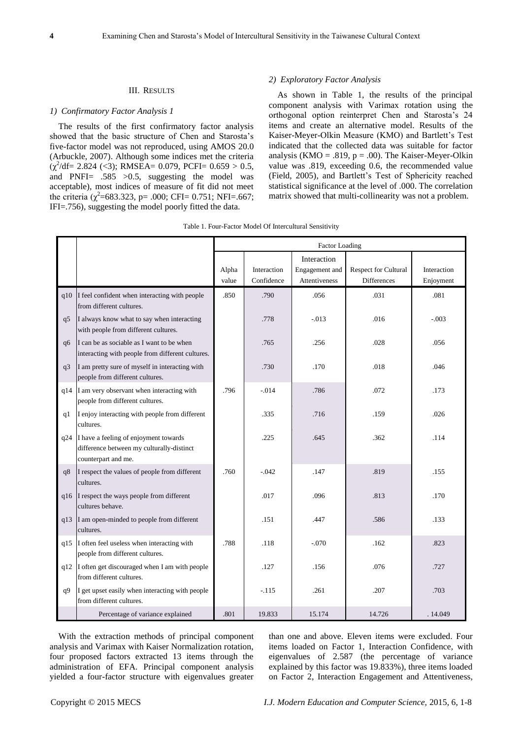#### III. RESULTS

# *1) Confirmatory Factor Analysis 1*

The results of the first confirmatory factor analysis showed that the basic structure of Chen and Starosta"s five-factor model was not reproduced, using AMOS 20.0 (Arbuckle, 2007). Although some indices met the criteria  $(\chi^2/df= 2.824 \; (\leq 3); \; RMSEA = 0.079, \; PCFI = 0.659 > 0.5,$ and PNFI= .585 >0.5, suggesting the model was acceptable), most indices of measure of fit did not meet the criteria ( $\chi^2$ =683.323, p= .000; CFI= 0.751; NFI=.667; IFI=.756), suggesting the model poorly fitted the data.

#### *2) Exploratory Factor Analysis*

As shown in Table 1, the results of the principal component analysis with Varimax rotation using the orthogonal option reinterpret Chen and Starosta"s 24 items and create an alternative model. Results of the Kaiser-Meyer-Olkin Measure (KMO) and Bartlett's Test indicated that the collected data was suitable for factor analysis (KMO = .819,  $p = .00$ ). The Kaiser-Meyer-Olkin value was .819, exceeding 0.6, the recommended value (Field, 2005), and Bartlett's Test of Sphericity reached statistical significance at the level of .000. The correlation matrix showed that multi-collinearity was not a problem.

|     |                                                                                                           | <b>Factor Loading</b> |                           |                                                |                                            |                          |
|-----|-----------------------------------------------------------------------------------------------------------|-----------------------|---------------------------|------------------------------------------------|--------------------------------------------|--------------------------|
|     |                                                                                                           | Alpha<br>value        | Interaction<br>Confidence | Interaction<br>Engagement and<br>Attentiveness | Respect for Cultural<br><b>Differences</b> | Interaction<br>Enjoyment |
|     | $q10$ I feel confident when interacting with people<br>from different cultures.                           | .850                  | .790                      | .056                                           | .031                                       | .081                     |
| q5  | I always know what to say when interacting<br>with people from different cultures.                        |                       | .778                      | $-0.013$                                       | .016                                       | $-.003$                  |
| q6  | I can be as sociable as I want to be when<br>interacting with people from different cultures.             |                       | .765                      | .256                                           | .028                                       | .056                     |
| q3  | I am pretty sure of myself in interacting with<br>people from different cultures.                         |                       | .730                      | .170                                           | .018                                       | .046                     |
| q14 | I am very observant when interacting with<br>people from different cultures.                              | .796                  | $-.014$                   | .786                                           | .072                                       | .173                     |
| q1  | I enjoy interacting with people from different<br>cultures.                                               |                       | .335                      | .716                                           | .159                                       | .026                     |
| q24 | I have a feeling of enjoyment towards<br>difference between my culturally-distinct<br>counterpart and me. |                       | .225                      | .645                                           | .362                                       | .114                     |
| q8  | I respect the values of people from different<br>cultures.                                                | .760                  | $-.042$                   | .147                                           | .819                                       | .155                     |
|     | q16 I respect the ways people from different<br>cultures behave.                                          |                       | .017                      | .096                                           | .813                                       | .170                     |
| q13 | I am open-minded to people from different<br>cultures.                                                    |                       | .151                      | .447                                           | .586                                       | .133                     |
| q15 | I often feel useless when interacting with<br>people from different cultures.                             | .788                  | .118                      | $-.070$                                        | .162                                       | .823                     |
| q12 | I often get discouraged when I am with people<br>from different cultures.                                 |                       | .127                      | .156                                           | .076                                       | .727                     |
| q9  | I get upset easily when interacting with people<br>from different cultures.                               |                       | $-.115$                   | .261                                           | .207                                       | .703                     |
|     | Percentage of variance explained                                                                          | .801                  | 19.833                    | 15.174                                         | 14.726                                     | .14.049                  |

| Table 1. Four-Factor Model Of Intercultural Sensitivity |  |  |
|---------------------------------------------------------|--|--|
|                                                         |  |  |

With the extraction methods of principal component analysis and Varimax with Kaiser Normalization rotation, four proposed factors extracted 13 items through the administration of EFA. Principal component analysis yielded a four-factor structure with eigenvalues greater

than one and above. Eleven items were excluded. Four items loaded on Factor 1, Interaction Confidence, with eigenvalues of 2.587 (the percentage of variance explained by this factor was 19.833%), three items loaded on Factor 2, Interaction Engagement and Attentiveness,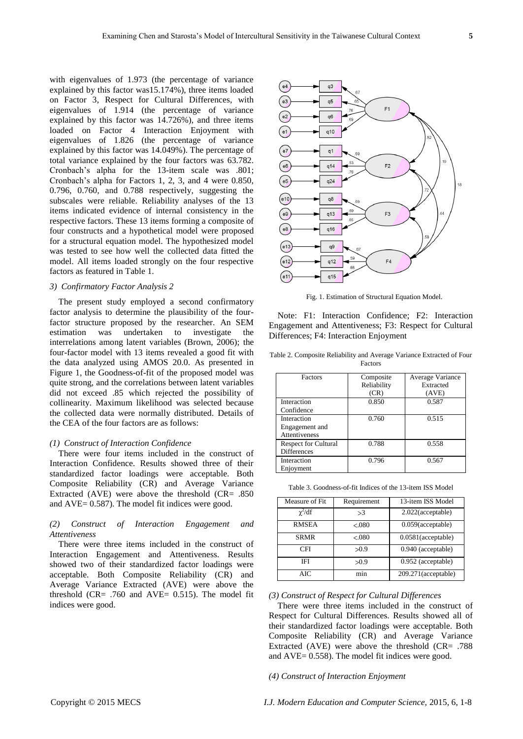with eigenvalues of 1.973 (the percentage of variance explained by this factor was15.174%), three items loaded on Factor 3, Respect for Cultural Differences, with eigenvalues of 1.914 (the percentage of variance explained by this factor was 14.726%), and three items loaded on Factor 4 Interaction Enjoyment with eigenvalues of 1.826 (the percentage of variance explained by this factor was 14.049%). The percentage of total variance explained by the four factors was 63.782. Cronbach"s alpha for the 13-item scale was .801; Cronbach"s alpha for Factors 1, 2, 3, and 4 were 0.850, 0.796, 0.760, and 0.788 respectively, suggesting the subscales were reliable. Reliability analyses of the 13 items indicated evidence of internal consistency in the respective factors. These 13 items forming a composite of four constructs and a hypothetical model were proposed for a structural equation model. The hypothesized model was tested to see how well the collected data fitted the model. All items loaded strongly on the four respective factors as featured in Table 1.

#### *3) Confirmatory Factor Analysis 2*

The present study employed a second confirmatory factor analysis to determine the plausibility of the fourfactor structure proposed by the researcher. An SEM estimation was undertaken to investigate the interrelations among latent variables (Brown, 2006); the four-factor model with 13 items revealed a good fit with the data analyzed using AMOS 20.0. As presented in Figure 1, the Goodness-of-fit of the proposed model was quite strong, and the correlations between latent variables did not exceed .85 which rejected the possibility of collinearity. Maximum likelihood was selected because the collected data were normally distributed. Details of the CEA of the four factors are as follows:

#### *(1) Construct of Interaction Confidence*

There were four items included in the construct of Interaction Confidence. Results showed three of their standardized factor loadings were acceptable. Both Composite Reliability (CR) and Average Variance Extracted (AVE) were above the threshold (CR= .850 and AVE= 0.587). The model fit indices were good.

# *(2) Construct of Interaction Engagement and Attentiveness*

There were three items included in the construct of Interaction Engagement and Attentiveness. Results showed two of their standardized factor loadings were acceptable. Both Composite Reliability (CR) and Average Variance Extracted (AVE) were above the threshold (CR=  $.760$  and AVE= 0.515). The model fit indices were good.



Fig. 1. Estimation of Structural Equation Model.

Note: F1: Interaction Confidence; F2: Interaction Engagement and Attentiveness; F3: Respect for Cultural Differences; F4: Interaction Enjoyment

Table 2. Composite Reliability and Average Variance Extracted of Four Factors

| Factors                                           | Composite<br>Reliability<br>(CR) | Average Variance<br>Extracted<br>(AVE) |
|---------------------------------------------------|----------------------------------|----------------------------------------|
| Interaction<br>Confidence                         | 0.850                            | 0.587                                  |
| Interaction<br>Engagement and<br>Attentiveness    | 0.760                            | 0.515                                  |
| <b>Respect for Cultural</b><br><b>Differences</b> | 0.788                            | 0.558                                  |
| Interaction<br>Enjoyment                          | 0.796                            | 0.567                                  |

Table 3. Goodness-of-fit Indices of the 13-item ISS Model

| Measure of Fit | Requirement | 13-item ISS Model     |
|----------------|-------------|-----------------------|
| $\gamma^2/df$  | >3          | 2.022(acceptable)     |
| <b>RMSEA</b>   | < 080       | 0.059(acceptable)     |
| <b>SRMR</b>    | < 080       | $0.0581$ (acceptable) |
| CFI            | >0.9        | 0.940 (acceptable)    |
| <b>IFI</b>     | >0.9        | 0.952 (acceptable)    |
| AIC            | min         | 209.271(acceptable)   |

#### *(3) Construct of Respect for Cultural Differences*

There were three items included in the construct of Respect for Cultural Differences. Results showed all of their standardized factor loadings were acceptable. Both Composite Reliability (CR) and Average Variance Extracted (AVE) were above the threshold (CR= .788 and AVE= 0.558). The model fit indices were good.

*(4) Construct of Interaction Enjoyment*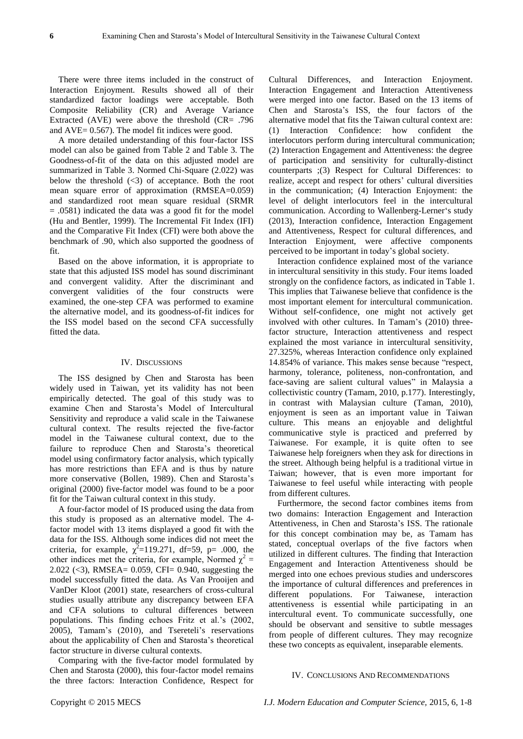There were three items included in the construct of Interaction Enjoyment. Results showed all of their standardized factor loadings were acceptable. Both Composite Reliability (CR) and Average Variance Extracted (AVE) were above the threshold (CR= .796 and AVE= 0.567). The model fit indices were good.

A more detailed understanding of this four-factor ISS model can also be gained from Table 2 and Table 3. The Goodness-of-fit of the data on this adjusted model are summarized in Table 3. Normed Chi-Square (2.022) was below the threshold  $(\leq 3)$  of acceptance. Both the root mean square error of approximation (RMSEA=0.059) and standardized root mean square residual (SRMR = .0581) indicated the data was a good fit for the model (Hu and Bentler, 1999). The Incremental Fit Index (IFI) and the Comparative Fit Index (CFI) were both above the benchmark of .90, which also supported the goodness of fit.

Based on the above information, it is appropriate to state that this adjusted ISS model has sound discriminant and convergent validity. After the discriminant and convergent validities of the four constructs were examined, the one-step CFA was performed to examine the alternative model, and its goodness-of-fit indices for the ISS model based on the second CFA successfully fitted the data.

#### IV. DISCUSSIONS

The ISS designed by Chen and Starosta has been widely used in Taiwan, yet its validity has not been empirically detected. The goal of this study was to examine Chen and Starosta"s Model of Intercultural Sensitivity and reproduce a valid scale in the Taiwanese cultural context. The results rejected the five-factor model in the Taiwanese cultural context, due to the failure to reproduce Chen and Starosta"s theoretical model using confirmatory factor analysis, which typically has more restrictions than EFA and is thus by nature more conservative (Bollen, 1989). Chen and Starosta"s original (2000) five-factor model was found to be a poor fit for the Taiwan cultural context in this study.

A four-factor model of IS produced using the data from this study is proposed as an alternative model. The 4 factor model with 13 items displayed a good fit with the data for the ISS. Although some indices did not meet the criteria, for example,  $\chi^2$ =119.271, df=59, p= .000, the other indices met the criteria, for example, Normed  $\chi^2$  = 2.022 (<3), RMSEA= 0.059, CFI= 0.940, suggesting the model successfully fitted the data. As Van Prooijen and VanDer Kloot (2001) state, researchers of cross-cultural studies usually attribute any discrepancy between EFA and CFA solutions to cultural differences between populations. This finding echoes Fritz et al."s (2002, 2005), Tamam"s (2010), and Tsereteli"s reservations about the applicability of Chen and Starosta"s theoretical factor structure in diverse cultural contexts.

Comparing with the five-factor model formulated by Chen and Starosta (2000), this four-factor model remains the three factors: Interaction Confidence, Respect for Cultural Differences, and Interaction Enjoyment. Interaction Engagement and Interaction Attentiveness were merged into one factor. Based on the 13 items of Chen and Starosta"s ISS, the four factors of the alternative model that fits the Taiwan cultural context are: (1) Interaction Confidence: how confident the interlocutors perform during intercultural communication; (2) Interaction Engagement and Attentiveness: the degree of participation and sensitivity for culturally-distinct counterparts ;(3) Respect for Cultural Differences: to realize, accept and respect for others" cultural diversities in the communication; (4) Interaction Enjoyment: the level of delight interlocutors feel in the intercultural communication. According to Wallenberg-Lerner's study (2013), Interaction confidence, Interaction Engagement and Attentiveness, Respect for cultural differences, and Interaction Enjoyment, were affective components perceived to be important in today"s global society.

Interaction confidence explained most of the variance in intercultural sensitivity in this study. Four items loaded strongly on the confidence factors, as indicated in Table 1. This implies that Taiwanese believe that confidence is the most important element for intercultural communication. Without self-confidence, one might not actively get involved with other cultures. In Tamam's (2010) threefactor structure, Interaction attentiveness and respect explained the most variance in intercultural sensitivity, 27.325%, whereas Interaction confidence only explained 14.854% of variance. This makes sense because "respect, harmony, tolerance, politeness, non-confrontation, and face-saving are salient cultural values" in Malaysia a collectivistic country (Tamam, 2010, p.177). Interestingly, in contrast with Malaysian culture (Taman, 2010), enjoyment is seen as an important value in Taiwan culture. This means an enjoyable and delightful communicative style is practiced and preferred by Taiwanese. For example, it is quite often to see Taiwanese help foreigners when they ask for directions in the street. Although being helpful is a traditional virtue in Taiwan; however, that is even more important for Taiwanese to feel useful while interacting with people from different cultures.

Furthermore, the second factor combines items from two domains: Interaction Engagement and Interaction Attentiveness, in Chen and Starosta"s ISS. The rationale for this concept combination may be, as Tamam has stated, conceptual overlaps of the five factors when utilized in different cultures. The finding that Interaction Engagement and Interaction Attentiveness should be merged into one echoes previous studies and underscores the importance of cultural differences and preferences in different populations. For Taiwanese, interaction attentiveness is essential while participating in an intercultural event. To communicate successfully, one should be observant and sensitive to subtle messages from people of different cultures. They may recognize these two concepts as equivalent, inseparable elements.

### IV. CONCLUSIONS AND RECOMMENDATIONS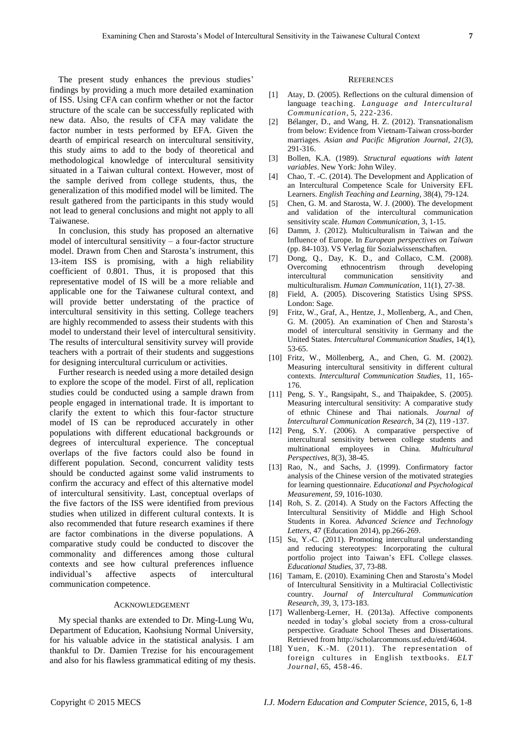The present study enhances the previous studies' findings by providing a much more detailed examination of ISS. Using CFA can confirm whether or not the factor structure of the scale can be successfully replicated with new data. Also, the results of CFA may validate the factor number in tests performed by EFA. Given the dearth of empirical research on intercultural sensitivity, this study aims to add to the body of theoretical and methodological knowledge of intercultural sensitivity situated in a Taiwan cultural context. However, most of the sample derived from college students, thus, the generalization of this modified model will be limited. The result gathered from the participants in this study would not lead to general conclusions and might not apply to all Taiwanese.

In conclusion, this study has proposed an alternative model of intercultural sensitivity – a four-factor structure model. Drawn from Chen and Starosta's instrument, this 13-item ISS is promising, with a high reliability coefficient of 0.801. Thus, it is proposed that this representative model of IS will be a more reliable and applicable one for the Taiwanese cultural context, and will provide better understating of the practice of intercultural sensitivity in this setting. College teachers are highly recommended to assess their students with this model to understand their level of intercultural sensitivity. The results of intercultural sensitivity survey will provide teachers with a portrait of their students and suggestions for designing intercultural curriculum or activities.

Further research is needed using a more detailed design to explore the scope of the model. First of all, replication studies could be conducted using a sample drawn from people engaged in international trade. It is important to clarify the extent to which this four-factor structure model of IS can be reproduced accurately in other populations with different educational backgrounds or degrees of intercultural experience. The conceptual overlaps of the five factors could also be found in different population. Second, concurrent validity tests should be conducted against some valid instruments to confirm the accuracy and effect of this alternative model of intercultural sensitivity. Last, conceptual overlaps of the five factors of the ISS were identified from previous studies when utilized in different cultural contexts. It is also recommended that future research examines if there are factor combinations in the diverse populations. A comparative study could be conducted to discover the commonality and differences among those cultural contexts and see how cultural preferences influence individual"s affective aspects of intercultural communication competence.

#### ACKNOWLEDGEMENT

My special thanks are extended to Dr. Ming-Lung Wu, Department of Education, Kaohsiung Normal University, for his valuable advice in the statistical analysis. I am thankful to Dr. Damien Trezise for his encouragement and also for his flawless grammatical editing of my thesis.

#### **REFERENCES**

- [1] Atay, D. (2005). Reflections on the cultural dimension of language teaching. *Language and Intercultural Communication*, 5, 222-236.
- [2] B danger, D., and Wang, H. Z. (2012). Transnationalism from below: Evidence from Vietnam-Taiwan cross-border marriages. *Asian and Pacific Migration Journal*, *21*(3), 291-316.
- [3] Bollen, K.A. (1989). *Structural equations with latent variables*. New York: John Wiley.
- [4] Chao, T. -C. (2014). The Development and Application of an Intercultural Competence Scale for University EFL Learners. *English Teaching and Learning*, 38(4), 79-124.
- [5] Chen, G. M. and Starosta, W. J. (2000). The development and validation of the intercultural communication sensitivity scale. *Human Communication*, 3, 1-15.
- [6] Damm, J. (2012). Multiculturalism in Taiwan and the Influence of Europe. In *European perspectives on Taiwan*  (pp. 84-103). VS Verlag für Sozialwissenschaften.
- [7] Dong, Q., Day, K. D., and Collaco, C.M. (2008). Overcoming ethnocentrism through developing intercultural communication sensitivity and multiculturalism. *Human Communication*, 11(1), 27-38.
- [8] Field, A. (2005). Discovering Statistics Using SPSS. London: Sage.
- Fritz, W., Graf, A., Hentze, J., Mollenberg, A., and Chen, G. M. (2005). An examination of Chen and Starosta"s model of intercultural sensitivity in Germany and the United States. *Intercultural Communication Studies*, 14(1), 53-65.
- [10] Fritz, W., Möllenberg, A., and Chen, G. M. (2002). Measuring intercultural sensitivity in different cultural contexts. *Intercultural Communication Studies*, 11, 165- 176.
- [11] Peng, S. Y., Rangsipaht, S., and Thaipakdee, S. (2005). Measuring intercultural sensitivity: A comparative study of ethnic Chinese and Thai nationals. *Journal of Intercultural Communication Research*, 34 (2), 119 -137.
- [12] Peng, S.Y. (2006). A comparative perspective of intercultural sensitivity between college students and multinational employees in China. *Multicultural Perspectives*, 8(3), 38-45.
- [13] Rao, N., and Sachs, J. (1999). Confirmatory factor analysis of the Chinese version of the motivated strategies for learning questionnaire. *Educational and Psychological Measurement*, *59*, 1016-1030.
- [14] Roh, S. Z. (2014). A Study on the Factors Affecting the Intercultural Sensitivity of Middle and High School Students in Korea. *Advanced Science and Technology Letters*, 47 (Education 2014), pp.266-269.
- [15] Su, Y.-C. (2011). Promoting intercultural understanding and reducing stereotypes: Incorporating the cultural portfolio project into Taiwan"s EFL College classes. *Educational Studies*, 37, 73-88.
- [16] Tamam, E. (2010). Examining Chen and Starosta's Model of Intercultural Sensitivity in a Multiracial Collectivistic country. *Journal of Intercultural Communication Research, 39*, 3, 173-183.
- [17] Wallenberg-Lerner, H. (2013a). Affective components needed in today"s global society from a cross-cultural perspective. Graduate School Theses and Dissertations. Retrieved from http://scholarcommons.usf.edu/etd/4604.
- [18] Yuen, K.-M. (2011). The representation of foreign cultures in English textbooks. *ELT Journal*, 65, 458-46.